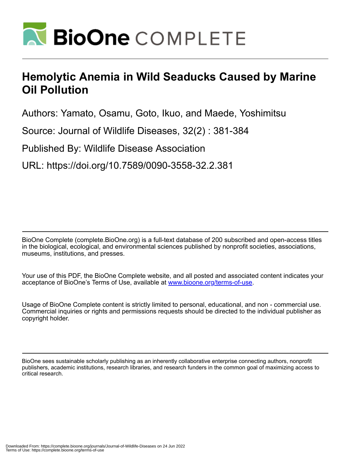

## **Hemolytic Anemia in Wild Seaducks Caused by Marine Oil Pollution**

Authors: Yamato, Osamu, Goto, Ikuo, and Maede, Yoshimitsu

Source: Journal of Wildlife Diseases, 32(2) : 381-384

Published By: Wildlife Disease Association

URL: https://doi.org/10.7589/0090-3558-32.2.381

BioOne Complete (complete.BioOne.org) is a full-text database of 200 subscribed and open-access titles in the biological, ecological, and environmental sciences published by nonprofit societies, associations, museums, institutions, and presses.

Your use of this PDF, the BioOne Complete website, and all posted and associated content indicates your acceptance of BioOne's Terms of Use, available at www.bioone.org/terms-of-use.

Usage of BioOne Complete content is strictly limited to personal, educational, and non - commercial use. Commercial inquiries or rights and permissions requests should be directed to the individual publisher as copyright holder.

BioOne sees sustainable scholarly publishing as an inherently collaborative enterprise connecting authors, nonprofit publishers, academic institutions, research libraries, and research funders in the common goal of maximizing access to critical research.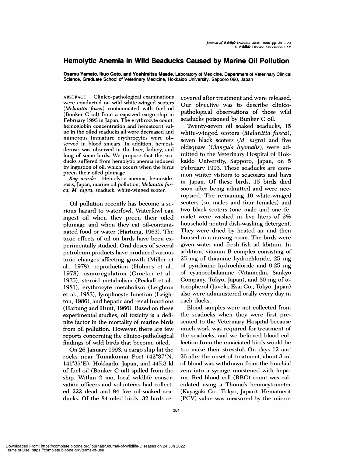## **Hemolytic Anemia in Wild Seaducks Caused by Marine Oil Pollution**

**Osamu Yamato, lkuo Goto, and Yoshimitsu Macdc,** Laboratory of Medicine, Department of Veterinary Clinical Science, Graduate School of Veterinary Medicine, Hokkaido University, Sapporo 060, Japan

ABSTRACT: Clinico-pathological examinations *were* conducted on wild white-winged scoters (Melanitta fusca) contaminated with fuel oil (Bunker C oil) from a capsized cargo ship in February 1993 in Japan. The erythrocyte count, hemoglobin concentration and hematocrit val ue in the oiled seaducks all were decreased and numerous immature erythrocytes were oh served in blood smears. In addition, hemosiderosis was observed in the liver, kidney, and lung of some birds. We propose that the sea ducks suffered from hemolytic anemia induced by ingestion of oil, which occurs when the birds preen their oiled plumage.

*Key words:* Hemolytic anemia, hemosiderosis, Japan, marine oil pollution, *Melanitta fusca, M. nigra,* seaduck, white-winged scoter.

Oil pollution recently has become a serious hazard to waterfowl. Waterfowl can ingest oil when they preen their oiled plumage and when they eat oil-contaminated food or water (Hartung, 1963). The toxic effects of oil on birds have been ex perimentally studied. Oral doses of several petroleum products have produced various toxic changes affecting growth (Miller et al., 1978), reproduction (Holmes et al., 1978), osmoregulation (Crocker et al., 1975), steroid metabolism (Peakall et al., 1981), erythrocyte metabolism (Leighton et al., 1983), lymphocyte function (Leighton, 1986), and hepatic and renal functions  $(Hartung and Hunt, 1966)$ . Based on these experimental studies, oil toxicity is a definite factor in the mortality of marine birds from oil pollution. However, there are few reports concerning the clinico-pathological findings of wild birds that become oiled.

On 26 January 1993, a cargo ship hit the rocks near Tomakomai Port (42°37'N, 14l#{176}35'E), Hokkaido, Japan, and 445.3 kI of fuel oil (Bunker C oil) spilled from the ship. Within 2 mo, local wildlife conser vation officers and volunteers had collected 222 dead and 84 live oil-soaked sea ducks. Of the 84 oiled birds, 32 birds recovered after treatment and were released. Our objective was to describe clinicopathological observations of those wild seaducks poisoned by Bunker C oil.

Twenty-seven oil soaked seaducks, 15 white-winged scoters *(Melanitta fusca),* seven black scoters *(M. nigra)* and five oldsquaw *(Clangula hyemalis),* were admitted to the Veterinary Hospital of Hokkaido University, Sapporo, Japan, on 5 February 1993. These seaducks are common winter visitors to seacoasts and bays in Japan. Of these birds, 15 birds died soon after being admitted and were necropsied. The remaining 10 white-winged scoters (six males and four females) and **two** black scoters (one male and one female) were washed in five liters of 2% household neutral dish-washing detergent. They were dried by heated air and then housed in a nursing room. The birds were given water and fresh fish ad libitum. In addition, vitamin B complex consisting of 25 mg of thiamine hydrochloride, 25 mg of pyridoxine hydrochloride and 0.25 mg of cyanocobalamine (Vitamedin, Sankyo Company, Tokyo, Japan), and 50 mg of  $\alpha$ tocophemol (Juvela, Esai Co., Tokyo, Japan) also were administered orally every day in each ducks.

Blood samples were not collected from the seaducks when they were first presented to the Veterinary Hospital because much work was required for treatment of the seaducks, and we believed blood collection from the emaciated birds would be too make their stressful. On days 12 and 26 after the onset of treatment, about 3 ml of blood was withdrawn from the brachial vein into a syringe moistened with heparim. Red blood cell (RBC) count was calculated using a Thoma's hemocytometer (Kayagaki Co., Tokyo, Japan). Hematocrit (PGV) value was measured by the micro-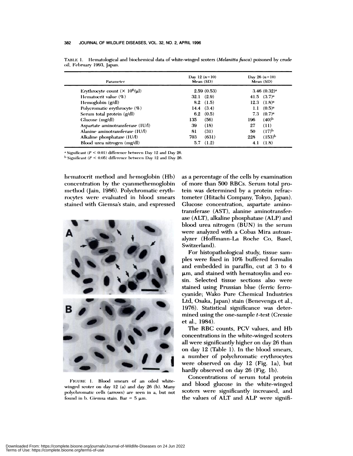| Parameter                               | Day 12 $(n=10)$<br>Mean (SD) |            | Day 26 $(n=10)$<br>Mean (SD) |                         |
|-----------------------------------------|------------------------------|------------|------------------------------|-------------------------|
| Erythrocyte count $(\times 10^6/\mu l)$ |                              | 2.59(0.53) |                              | 3.46(0.32) <sup>a</sup> |
| Hematocrit value $(\%)$                 | $32.1 \quad (2.9)$           |            |                              | 41.5 $(3.7)^{a}$        |
| Hemoglobin (g/dl)                       | $8.2$ (1.5)                  |            |                              | $12.3$ $(1.8)^a$        |
| Polycromatic erythrocyte (%)            | 14.4 $(3.4)$                 |            | 1.1                          | $(0.5)^{a}$             |
| Serum total protein (g/dl)              | 6.2 $(0.5)$                  |            | 7.3                          | $(0.7)^{a}$             |
| Glucose (mg/dl)                         | 135                          | (56)       | 196                          | $(40)^b$                |
| Aspartate aminotransferase (IU/I)       | 39                           | (18)       | 27                           | (11)                    |
| Alanine aminotransferase (IUA)          | 81                           | (31)       | 50                           | $(17)^{b}$              |
| Alkaline phosphatase $(1U/A)$           | 703                          | (631)      | 228                          | $(153)^{h}$             |
| Blood urea nitrogen (mg/dl)             | 5.7                          | (1.2)      | 4.1                          | (1.8)                   |

TABLE 1. Hematological and biochemical data of white-winged scoters *(Melanitta fusca)* poisoned by crude oil, February 1993, Japan.

*a* Significant *(I' <* 0.01) difference between 1)ay 12 and Day 26.

1) Significant *(P <* 0.05) diflerence between Day 12 and Day 26.

hematocrit method and hemoglobin (Hb) concentration by the cyan methemoglobim method (Jain, 1986). Polychromatic erythmocytes were evaluated in blood smears stained with Giemsa's stain, and expressed



FIGURE 1. Blood smears of an oiled whitewinged scoter on day 12 (a) and day 26 (b). Many polychromatic cells (arrows) are seen in a, but not found in b. Giemsa stain. Bar =  $5 \mu$ m.

as a percentage of the cells by examination of more than 500 RBCs. Serum total protein was determined by a protein refractometer (Hitachi Company, Tokyo, Japan). Glucose concentration, aspartate aminotransferase (AST), alanine aminotransfem ase (ALT), alkaline phosphatase (ALP) and blood urea nitrogen (BUN) in the serum were analyzed with a Cobas Mira autoam aiyzer (Hoffrnamn-La Roche Co, Basel, Switzerland).

For histopathological study, tissue sam pies were fixed in 10% buffered fommalin and embedded in paraffin, cut at 3 to 4  $\mu$ m, and stained with hematoxylin and eosin. Selected tissue sections also were stained using Prussian blue (ferric fermocyanide; Wako Pure Chemical Industries Ltd, Osaka, Japan) stain (Benevenga et al., 1976). Statistical significance was determined using the one-sample  $t$ -test (Cressie et al., 1984).

The RBC counts, PCV values, and Hb concentrations in the white-winged scoters all were significantly higher on day 26 than on day 12 (Table 1). In the blood smears, a number of polychromatic erythrocytes were observed on day 12 (Fig. la), but hardly observed on day 26 (Fig. 1b).

Concentrations of serum total protein and blood glucose in the white-winged scoters were significantly increased, and the values of ALT and ALP were signifi-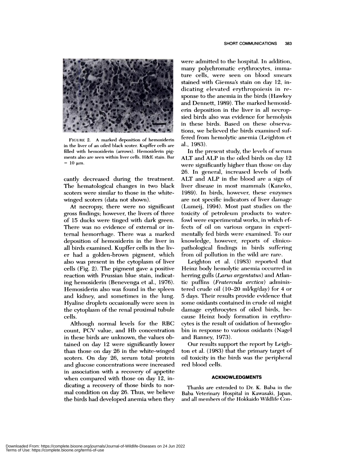

FIGURE 2. A marked deposition of hemosiderin in the liver of an oiled black scoter. Kupffer cells are filled with hemosiderin (arrows). Hemosiderin pig ments also are seen within liver cells. H&E stain. Bar  $= 10 \mu m$ .

cantly decreased during the treatment. The hematological changes in two black scoters were similar to those in the whitewinged scoters (data not shown).

At necropsy, there were no significant gross findings; however, the livers of three of 15 ducks were tinged with dark green. There was no evidence of external or internal hemorrhage. There was a marked deposition of hemosiderin in the liver in all birds examined. Kupffer cells in the liv er had a golden-brown pigment, which also was present in the cytoplasm of liver cells (Fig. 2). The pigment gave a positive reaction with Prussian blue stain, indicating hemosiderin (Benevenga et al., 1976). Hemosiderin also was found in the spleen and kidney, and sometimes in the lung. Hyaline droplets occasionally were seen in the cytoplasm of the renal proximal tubule cells.

Although normal levels for the RBC count, PCV value, and Hb concentration in these birds are unknown, the values obtained on day 12 were significantly lower than those on day 26 in the white-winged scoters. On day 26, serum total protein and glucose concentrations were increased in association with a recovery of appetite when compared with those on day 12, indicating a recovery of those birds to nor mal condition on day 26. Thus, we believe the birds had developed anemia when they were admitted to the hospital. In addition, many polychromatic erythrocytes, immature cells, were seen on blood smears stained with Giemsa's stain on day 12, indicating elevated erythropoiesis in response to the anemia in the birds (Hawkey and Dennett, 1989). The marked hemosid erin deposition in the liver in all necropsied birds also was evidence for hemolysis in these birds. Based on these observations, we believed the birds examined suffered from hemolytic anemia (Leighton et al., 1983).

In the present study, the levels of serum ALT and ALP in the oiled birds on day 12 were significantly higher than those on day 26. In general, increased levels of both ALT and ALP in the blood are a sign of liver disease in most mammals (Kaneko, 1989). In birds, however, these enzymes are not specific indicators of liver damage (Lumeij, 1994). Most past studies on the toxicity of petroleum products to waterfowl were experimental works, in which effects of oil on various organs in experimentally fed birds were examined. To our knowledge, however, reports of clinicopathological findings in birds suffering from oil pollution in the wild are rare.

Leighton et al. (1983) reported that Heinz body hemolytic anemia occurred in herring gulls (Larus argentatus) and Atlantic puffins (Fratercula arctica) administered crude oil (10-20 mI/kg/day) for 4 or 5 days. Their results provide evidence that some oxidants contained in crude oil might damage erythrocytes of oiled birds, because Heinz body formation in erythrocytes is the result of oxidation of hemoglobin in response to various oxidants (Nagel and Ranney, 1973).

Our results support the report by Leighton et al. (1983) that the primary target of oil toxicity in the birds was the peripheral red blood cells.

## **ACKNOWLEDGMENTS**

Thanks are extended to Dr. K. Baba in the Baba Veterinary Hospital in Kawasaki, Japan, and all members of the Hokkaido Wildlife Con